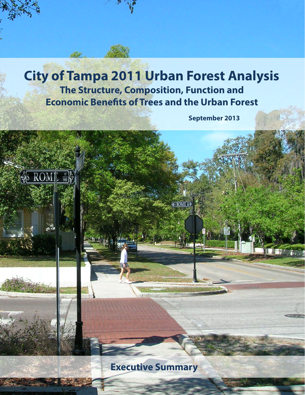### **City of Tampa 2011 Urban Forest Analysis The Structure, Composition, Function and Economic Benefts of Trees and the Urban Forest**

 $\frac{1}{6}$  ROM].  $\frac{N}{900}$ 

 **September 2013** 

**HS ROME** 

**Executive Summary**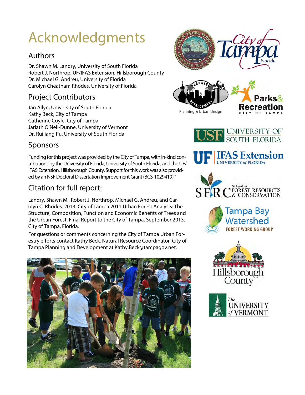# Acknowledgments

#### Authors

Dr. Shawn M. Landry, University of South Florida Robert J. Northrop, UF/IFAS Extension, Hillsborough County Dr. Michael G. Andreu, University of Florida Carolyn Cheatham Rhodes, University of Florida

#### Project Contributors

Jan Allyn, University of South Florida Kathy Beck, City of Tampa Catherine Coyle, City of Tampa Jarlath O'Neil-Dunne, University of Vermont Dr. Ruiliang Pu, University of South Florida







**UF LIFAS Extension** 

S FR C FOREST RESOURCES

#### Sponsors

 Funding for this project was provided by the City of Tampa, with in-kind con- IFAS Extension, Hillsborough County. Support for this work was also providtributions by the University of Florida, University of South Florida, and the UF/ ed by an NSF Doctoral Dissertation Improvement Grant (BCS-1029419)."

#### Citation for full report:

Landry, Shawn M., Robert J. Northrop, Michael G. Andreu, and Carolyn C. Rhodes. 2013. City of Tampa 2011 Urban Forest Analysis: The Structure, Composition, Function and Economic Benefts of Trees and the Urban Forest. Final Report to the City of Tampa, September 2013. City of Tampa, Florida.

For questions or comments concerning the City of Tampa Urban Forestry efforts contact Kathy Beck, Natural Resource Coordinator, City of Tampa Planning and Development at Kathy.Beck@tampagov.net.







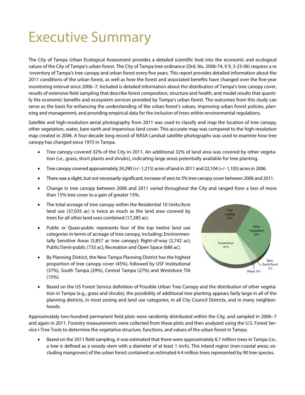## Executive Summary

The City of Tampa Urban Ecological Assessment provides a detailed scientifc look into the economic and ecological values of the City of Tampa's urban forest. The City of Tampa tree ordinance (Ord. No. 2006-74, § 9, 3-23-06) requires a re -inventory of Tampa's tree canopy and urban forest every fve years. This report provides detailed information about the 2011 conditions of the urban forest, as well as how the forest and associated benefts have changed over the fve-year monitoring interval since 2006-7. Included is detailed information about the distribution of Tampa's tree canopy cover, results of extensive feld sampling that describe forest composition, structure and health, and model results that quantify the economic benefts and ecosystem services provided by Tampa's urban forest. The outcomes from this study can serve as the basis for enhancing the understanding of the urban forest's values, improving urban forest policies, planning and management, and providing empirical data for the inclusion of trees within environmental regulations.

Satellite and high-resolution aerial photography from 2011 was used to classify and map the location of tree canopy, other vegetation, water, bare earth and impervious land cover. This accurate map was compared to the high-resolution map created in 2006. A four-decade long record of NASA Landsat satellite photographs was used to examine how tree canopy has changed since 1975 in Tampa.

- Tree canopy covered 32% of the City in 2011. An additional 32% of land area was covered by other vegeta-tion (i.e., grass, short plants and shrubs), indicating large areas potentially available for tree planting.
- Tree canopy covered approximately 24,290  $(+/- 1,215)$  acres of land in 2011 and 22,104  $(+/- 1,105)$  acres in 2006.
- There was a slight, but not necessarily significant, increase of zero to 3% tree canopy cover between 2006 and 2011.
- Change in tree canopy between 2006 and 2011 varied throughout the City and ranged from a loss of more than 15% tree cover to a gain of greater 15%.
- The total acreage of tree canopy within the Residential 10 Units/Acre land use (37,035 ac) is twice as much as the land area covered by trees for all other land uses combined (17,285 ac).
- Public or Quasi-public represents four of the top twelve land use categories in terms of acreage of tree canopy, including: Environmentally Sensitive Areas (5,857 ac tree canopy); Right-of-way (2,742 ac); Public/Semi-public (733 ac); Recreation and Open Space (686 ac).
- By Planning District, the New Tampa Planning District has the highest proportion of tree canopy cover (45%), followed by USF Institutional (37%), South Tampa (29%), Central Tampa (27%) and Westshore TIA (15%).



• Based on the US Forest Service definition of Possible Urban Tree Canopy and the distribution of other vegetation in Tampa (e.g., grass and shrubs), the possibility of additional tree planting appears fairly large in all of the planning districts, in most zoning and land use categories, in all City Council Districts, and in many neighborhoods.

Approximately two-hundred permanent field plots were randomly distributed within the City, and sampled in 2006-7 and again in 2011. Forestry measurements were collected from these plots and then analyzed using the U.S. Forest Service i-Tree Tools to determine the vegetative structure, functions, and values of the urban forest in Tampa.

• Based on the 2011 field sampling, it was estimated that there were approximately 8.7 million trees in Tampa (i.e., a tree is defined as a woody stem with a diameter of at least 1 inch). This inland region (non-coastal areas; excluding mangroves) of the urban forest contained an estimated 4.4 million trees represented by 90 tree species.